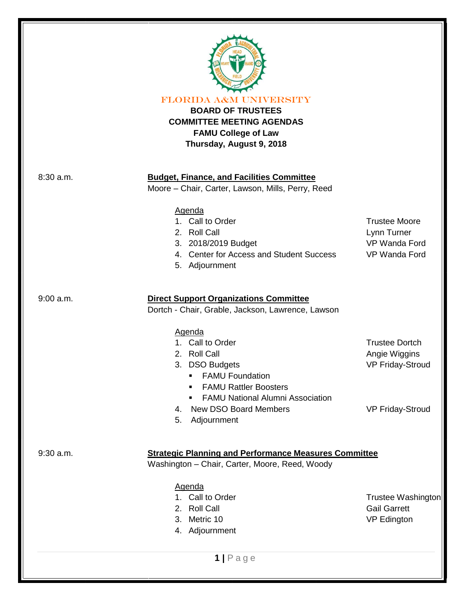

FLORIDA A&M UNIVERSITY

# **BOARD OF TRUSTEES COMMITTEE MEETING AGENDAS FAMU College of Law Thursday, August 9, 2018**

### 8:30 a.m. **Budget, Finance, and Facilities Committee**

Moore – Chair, Carter, Lawson, Mills, Perry, Reed

### Agenda

- 1. Call to Order Trustee Moore
- 2. Roll Call 2. Note that the contract of the contract of the contract of the contract of the contract of the contract of the contract of the contract of the contract of the contract of the contract of the contract of the
- 3. 2018/2019 Budget VP Wanda Ford
- 4. Center for Access and Student Success VP Wanda Ford
- 5. Adjournment

## 9:00 a.m. **Direct Support Organizations Committee**

Dortch - Chair, Grable, Jackson, Lawrence, Lawson

### Agenda

- 1. Call to Order Trustee Dortch
- 2. Roll Call **Angie Wiggins** 2. Roll Call
- 3. DSO Budgets VP Friday-Stroud
	- **FAMU Foundation**
	- **FAMU Rattler Boosters**
	- **FAMU National Alumni Association**
- 4. New DSO Board Members VP Friday-Stroud
	-

5. Adjournment

### 9:30 a.m. **Strategic Planning and Performance Measures Committee**

Washington – Chair, Carter, Moore, Reed, Woody

Agenda

- 
- 
- 3. Metric 10 and 10 vP Edington
- 4. Adjournment

1. Call to Order **Trustee Washington** 2. Roll Call **Gail Garrett** 

**1 |** P a g e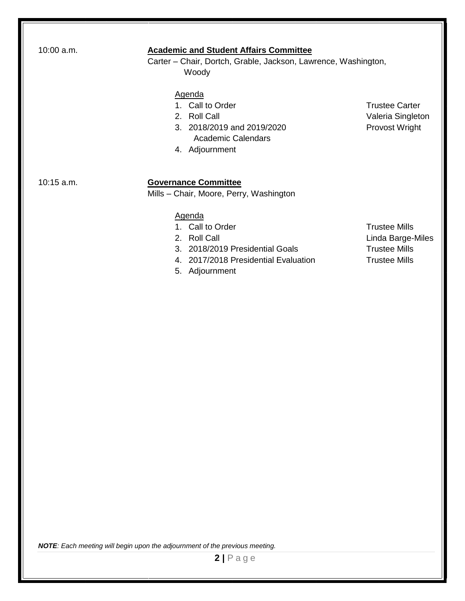| 10:00 a.m.   | <b>Academic and Student Affairs Committee</b><br>Carter – Chair, Dortch, Grable, Jackson, Lawrence, Washington,<br>Woody                       |                                                                                           |
|--------------|------------------------------------------------------------------------------------------------------------------------------------------------|-------------------------------------------------------------------------------------------|
|              | Agenda<br>1. Call to Order<br>2. Roll Call<br>3. 2018/2019 and 2019/2020<br><b>Academic Calendars</b><br>4. Adjournment                        | <b>Trustee Carter</b><br>Valeria Singleton<br>Provost Wright                              |
| $10:15$ a.m. | <b>Governance Committee</b><br>Mills - Chair, Moore, Perry, Washington                                                                         |                                                                                           |
|              | <b>Agenda</b><br>1. Call to Order<br>2. Roll Call<br>3. 2018/2019 Presidential Goals<br>4. 2017/2018 Presidential Evaluation<br>5. Adjournment | <b>Trustee Mills</b><br>Linda Barge-Miles<br><b>Trustee Mills</b><br><b>Trustee Mills</b> |

*NOTE: Each meeting will begin upon the adjournment of the previous meeting.*